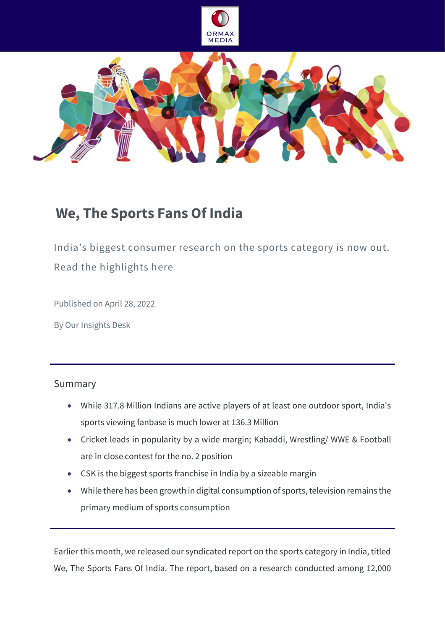



# **We, The Sports Fans Of India**

India's biggest consumer research on the sports category is now out. Read the highlights here

Published on April 28, 2022

By Our Insights Desk

# Summary

- While 317.8 Million Indians are active players of at least one outdoor sport, India's sports viewing fanbase is much lower at 136.3 Million
- Cricket leads in popularity by a wide margin; Kabaddi, Wrestling/ WWE & Football are in close contest for the no. 2 position
- CSK is the biggest sports franchise in India by a sizeable margin
- While there has been growth in digital consumption of sports, television remains the primary medium of sports consumption

Earlier this month, we released our syndicated report on the sports category in India, titled We, The Sports Fans Of India. The report, based on a research conducted among 12,000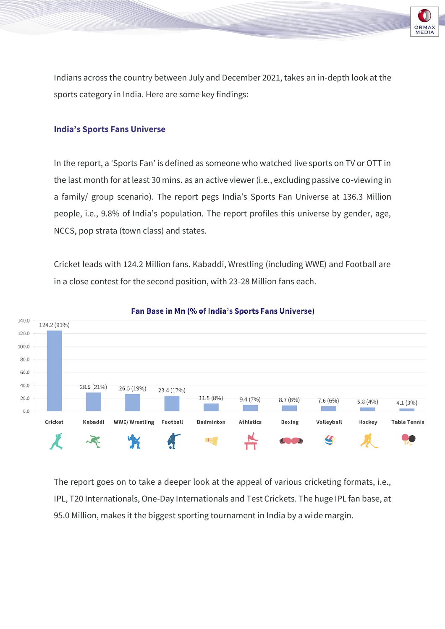

Indians across the country between July and December 2021, takes an in-depth look at the sports category in India. Here are some key findings:

## **India's Sports Fans Universe**

In the report, a 'Sports Fan' is defined as someone who watched live sports on TV or OTT in the last month for at least 30 mins. as an active viewer (i.e., excluding passive co-viewing in a family/ group scenario). The report pegs India's Sports Fan Universe at 136.3 Million people, i.e., 9.8% of India's population. The report profiles this universe by gender, age, NCCS, pop strata (town class) and states.

Cricket leads with 124.2 Million fans. Kabaddi, Wrestling (including WWE) and Football are in a close contest for the second position, with 23-28 Million fans each.



#### Fan Base in Mn (% of India's Sports Fans Universe)

The report goes on to take a deeper look at the appeal of various cricketing formats, i.e., IPL, T20 Internationals, One-Day Internationals and Test Crickets. The huge IPL fan base, at 95.0 Million, makes it the biggest sporting tournament in India by a wide margin.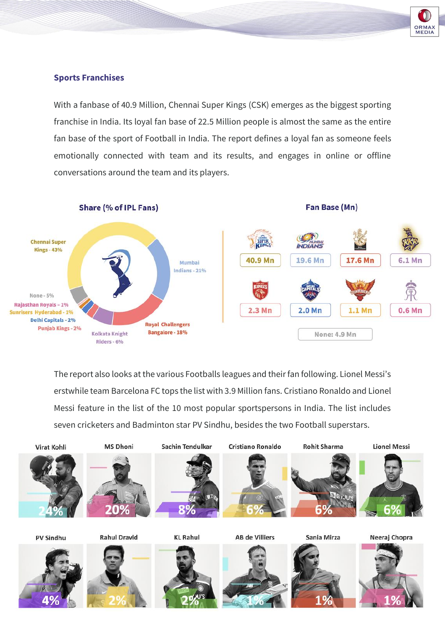

## **Sports Franchises**

With a fanbase of 40.9 Million, Chennai Super Kings (CSK) emerges as the biggest sporting franchise in India. Its loyal fan base of 22.5 Million people is almost the same as the entire fan base of the sport of Football in India. The report defines a loyal fan as someone feels emotionally connected with team and its results, and engages in online or offline conversations around the team and its players.



The report also looks at the various Footballs leagues and their fan following. Lionel Messi's erstwhile team Barcelona FC tops the list with 3.9 Million fans. Cristiano Ronaldo and Lionel Messi feature in the list of the 10 most popular sportspersons in India. The list includes seven cricketers and Badminton star PV Sindhu, besides the two Football superstars.

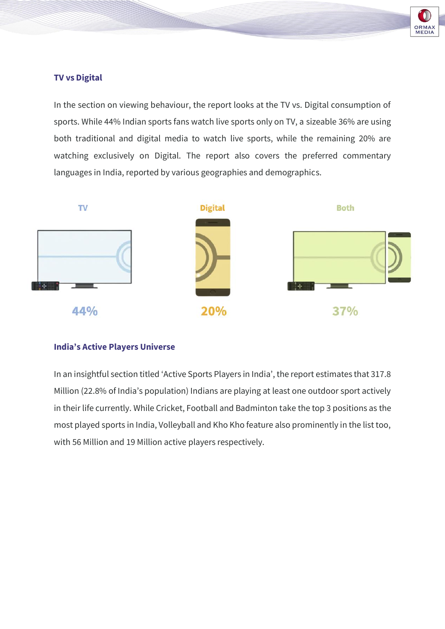

# **TV vs Digital**

In the section on viewing behaviour, the report looks at the TV vs. Digital consumption of sports. While 44% Indian sports fans watch live sports only on TV, a sizeable 36% are using both traditional and digital media to watch live sports, while the remaining 20% are watching exclusively on Digital. The report also covers the preferred commentary languages in India, reported by various geographies and demographics.



## **India's Active Players Universe**

In an insightful section titled 'Active Sports Players in India', the report estimates that 317.8 Million (22.8% of India's population) Indians are playing at least one outdoor sport actively in their life currently. While Cricket, Football and Badminton take the top 3 positions as the most played sports in India, Volleyball and Kho Kho feature also prominently in the list too, with 56 Million and 19 Million active players respectively.